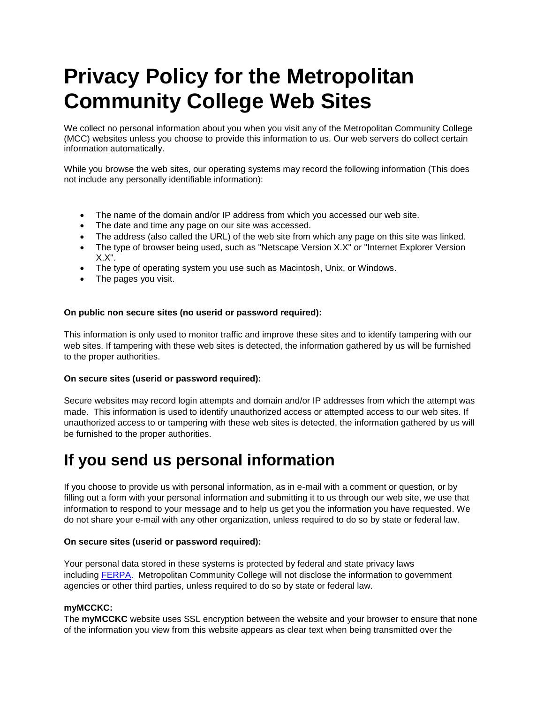# **Privacy Policy for the Metropolitan Community College Web Sites**

We collect no personal information about you when you visit any of the Metropolitan Community College (MCC) websites unless you choose to provide this information to us. Our web servers do collect certain information automatically.

While you browse the web sites, our operating systems may record the following information (This does not include any personally identifiable information):

- The name of the domain and/or IP address from which you accessed our web site.
- The date and time any page on our site was accessed.
- The address (also called the URL) of the web site from which any page on this site was linked.
- The type of browser being used, such as "Netscape Version X.X" or "Internet Explorer Version X.X".
- The type of operating system you use such as Macintosh, Unix, or Windows.
- The pages you visit.

#### **On public non secure sites (no userid or password required):**

This information is only used to monitor traffic and improve these sites and to identify tampering with our web sites. If tampering with these web sites is detected, the information gathered by us will be furnished to the proper authorities.

#### **On secure sites (userid or password required):**

Secure websites may record login attempts and domain and/or IP addresses from which the attempt was made. This information is used to identify unauthorized access or attempted access to our web sites. If unauthorized access to or tampering with these web sites is detected, the information gathered by us will be furnished to the proper authorities.

### **If you send us personal information**

If you choose to provide us with personal information, as in e-mail with a comment or question, or by filling out a form with your personal information and submitting it to us through our web site, we use that information to respond to your message and to help us get you the information you have requested. We do not share your e-mail with any other organization, unless required to do so by state or federal law.

#### **On secure sites (userid or password required):**

Your personal data stored in these systems is protected by federal and state privacy laws including [FERPA.](http://www.ed.gov/offices/OM/fpco/ferpa/index.html) Metropolitan Community College will not disclose the information to government agencies or other third parties, unless required to do so by state or federal law.

#### **myMCCKC:**

The **myMCCKC** website uses SSL encryption between the website and your browser to ensure that none of the information you view from this website appears as clear text when being transmitted over the